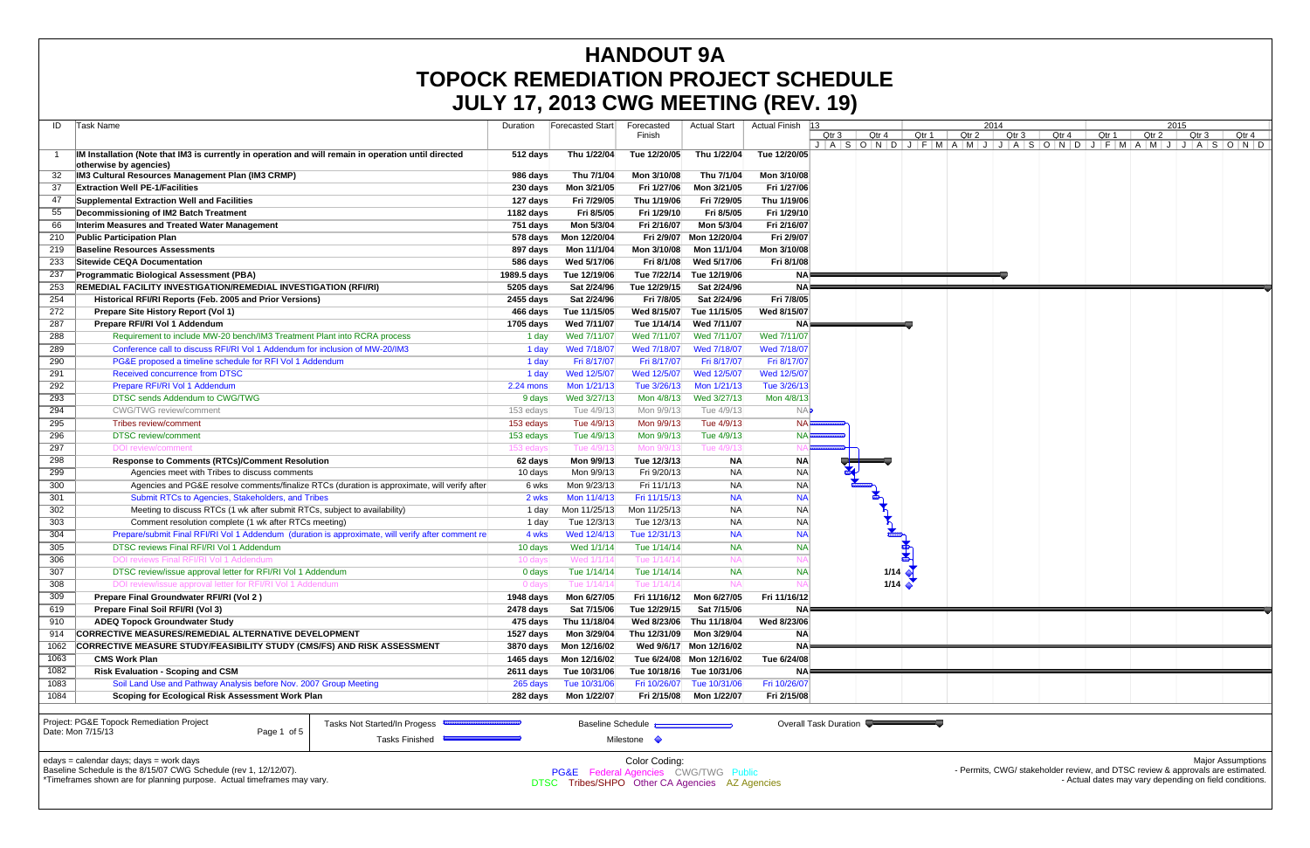|      |                                                                                                                                                                                        |                     | JULY 17, 2013 CWG MEETING (REV. 19)                                                               |                                                  |                           |                  |                       |       |                  |       |       |       |                                                                                                                                          |                  |                          |
|------|----------------------------------------------------------------------------------------------------------------------------------------------------------------------------------------|---------------------|---------------------------------------------------------------------------------------------------|--------------------------------------------------|---------------------------|------------------|-----------------------|-------|------------------|-------|-------|-------|------------------------------------------------------------------------------------------------------------------------------------------|------------------|--------------------------|
|      | Task Name<br>ID                                                                                                                                                                        | Duration            | <b>Forecasted Start</b>                                                                           | Forecasted                                       | <b>Actual Start</b>       | Actual Finish 13 |                       |       |                  | 2014  |       |       | 2015                                                                                                                                     |                  |                          |
|      |                                                                                                                                                                                        |                     |                                                                                                   | Finish                                           |                           |                  | Qtr 4<br>Qtr 3        | Qtr 1 | Qtr <sub>2</sub> | Qtr 3 | Qtr 4 | Qtr 1 | Qtr 2                                                                                                                                    | Qtr <sub>3</sub> | Qtr 4                    |
|      |                                                                                                                                                                                        |                     |                                                                                                   |                                                  |                           |                  |                       |       |                  |       |       |       |                                                                                                                                          |                  |                          |
|      | IM Installation (Note that IM3 is currently in operation and will remain in operation until directed                                                                                   | 512 days            | Thu 1/22/04                                                                                       | Tue 12/20/05                                     | Thu 1/22/04               | Tue 12/20/05     |                       |       |                  |       |       |       |                                                                                                                                          |                  |                          |
|      | otherwise by agencies)<br>IM3 Cultural Resources Management Plan (IM3 CRMP)                                                                                                            | 986 days            | Thu 7/1/04                                                                                        | Mon 3/10/08                                      | Thu 7/1/04                | Mon 3/10/08      |                       |       |                  |       |       |       |                                                                                                                                          |                  |                          |
|      | <b>Extraction Well PE-1/Facilities</b><br>37                                                                                                                                           |                     |                                                                                                   | Fri 1/27/06                                      |                           | Fri 1/27/06      |                       |       |                  |       |       |       |                                                                                                                                          |                  |                          |
|      |                                                                                                                                                                                        | 230 days            | Mon 3/21/05                                                                                       |                                                  | Mon 3/21/05               |                  |                       |       |                  |       |       |       |                                                                                                                                          |                  |                          |
|      | 47<br>Supplemental Extraction Well and Facilities                                                                                                                                      | 127 days            | Fri 7/29/05                                                                                       | Thu 1/19/06                                      | Fri 7/29/05               | Thu 1/19/06      |                       |       |                  |       |       |       |                                                                                                                                          |                  |                          |
|      | 55<br>Decommissioning of IM2 Batch Treatment                                                                                                                                           | 1182 days           | Fri 8/5/05                                                                                        | Fri 1/29/10                                      | Fri 8/5/05                | Fri 1/29/10      |                       |       |                  |       |       |       |                                                                                                                                          |                  |                          |
|      | 66<br>Interim Measures and Treated Water Management                                                                                                                                    | 751 days            | Mon 5/3/04                                                                                        | Fri 2/16/07                                      | Mon 5/3/04                | Fri 2/16/07      |                       |       |                  |       |       |       |                                                                                                                                          |                  |                          |
|      | <b>Public Participation Plan</b><br>210                                                                                                                                                | 578 days            | Mon 12/20/04                                                                                      |                                                  | Fri 2/9/07 Mon 12/20/04   | Fri 2/9/07       |                       |       |                  |       |       |       |                                                                                                                                          |                  |                          |
|      | 219<br><b>Baseline Resources Assessments</b>                                                                                                                                           | 897 days            | Mon 11/1/04                                                                                       | Mon 3/10/08                                      | Mon 11/1/04               | Mon 3/10/08      |                       |       |                  |       |       |       |                                                                                                                                          |                  |                          |
|      | Sitewide CEQA Documentation<br>233                                                                                                                                                     | 586 days            | Wed 5/17/06                                                                                       | Fri 8/1/08                                       | Wed 5/17/06               | Fri 8/1/08       |                       |       |                  |       |       |       |                                                                                                                                          |                  |                          |
|      | <b>Programmatic Biological Assessment (PBA)</b><br>237                                                                                                                                 | 1989.5 days         | Tue 12/19/06                                                                                      | Tue 7/22/14                                      | Tue 12/19/06              | NA⊫              |                       |       |                  |       |       |       |                                                                                                                                          |                  |                          |
|      | REMEDIAL FACILITY INVESTIGATION/REMEDIAL INVESTIGATION (RFI/RI)<br>253                                                                                                                 | 5205 days           | Sat 2/24/96                                                                                       | Tue 12/29/15                                     | Sat 2/24/96               | NA P             |                       |       |                  |       |       |       |                                                                                                                                          |                  |                          |
|      | 254<br>Historical RFI/RI Reports (Feb. 2005 and Prior Versions)                                                                                                                        | 2455 days           | Sat 2/24/96                                                                                       | Fri 7/8/05                                       | Sat 2/24/96               | Fri 7/8/05       |                       |       |                  |       |       |       |                                                                                                                                          |                  |                          |
|      | 272<br>Prepare Site History Report (Vol 1)                                                                                                                                             | 466 days            | Tue 11/15/05                                                                                      | Wed 8/15/07                                      | Tue 11/15/05              | Wed 8/15/07      |                       |       |                  |       |       |       |                                                                                                                                          |                  |                          |
| 287  | Prepare RFI/RI Vol 1 Addendum                                                                                                                                                          | 1705 days           | Wed 7/11/07                                                                                       | Tue 1/14/14                                      | Wed 7/11/07               | NA⊫              |                       |       |                  |       |       |       |                                                                                                                                          |                  |                          |
|      | Requirement to include MW-20 bench/IM3 Treatment Plant into RCRA process<br>288                                                                                                        | 1 day               | Wed 7/11/07                                                                                       | Wed 7/11/07                                      | Wed 7/11/07               | Wed 7/11/07      |                       |       |                  |       |       |       |                                                                                                                                          |                  |                          |
|      | Conference call to discuss RFI/RI Vol 1 Addendum for inclusion of MW-20/IM3<br>289                                                                                                     | 1 day               | Wed 7/18/07                                                                                       | Wed 7/18/07                                      | Wed 7/18/07               | Wed 7/18/07      |                       |       |                  |       |       |       |                                                                                                                                          |                  |                          |
|      | 290<br>PG&E proposed a timeline schedule for RFI Vol 1 Addendum                                                                                                                        | 1 day               | Fri 8/17/07                                                                                       | Fri 8/17/07                                      | Fri 8/17/07               | Fri 8/17/07      |                       |       |                  |       |       |       |                                                                                                                                          |                  |                          |
|      | <b>Received concurrence from DTSC</b><br>291                                                                                                                                           | 1 day               | Wed 12/5/07                                                                                       | Wed 12/5/07                                      | Wed 12/5/07               | Wed 12/5/07      |                       |       |                  |       |       |       |                                                                                                                                          |                  |                          |
|      | Prepare RFI/RI Vol 1 Addendum<br>292                                                                                                                                                   | 2.24 mons           | Mon 1/21/13                                                                                       | Tue 3/26/13                                      | Mon 1/21/13               | Tue 3/26/13      |                       |       |                  |       |       |       |                                                                                                                                          |                  |                          |
|      | DTSC sends Addendum to CWG/TWG<br>293                                                                                                                                                  | 9 days              | Wed 3/27/13                                                                                       | Mon 4/8/13                                       | Wed 3/27/13               | Mon 4/8/13       |                       |       |                  |       |       |       |                                                                                                                                          |                  |                          |
|      | 294<br>CWG/TWG review/comment                                                                                                                                                          | 153 edays           | Tue 4/9/13                                                                                        | Mon 9/9/13                                       | Tue 4/9/13                | <b>NA</b>        |                       |       |                  |       |       |       |                                                                                                                                          |                  |                          |
|      | 295<br><b>Tribes review/comment</b>                                                                                                                                                    | 153 edays           | Tue 4/9/13                                                                                        | Mon 9/9/13                                       | Tue 4/9/13                | <b>NA</b>        |                       |       |                  |       |       |       |                                                                                                                                          |                  |                          |
|      | 296<br><b>DTSC</b> review/comment                                                                                                                                                      | 153 edays           | Tue 4/9/13                                                                                        | Mon 9/9/13                                       | Tue 4/9/13                | <b>NAF</b>       |                       |       |                  |       |       |       |                                                                                                                                          |                  |                          |
| 297  | DOI review/comment                                                                                                                                                                     | 153 eday            | Tue 4/9/1                                                                                         | Mon 9/9/1                                        | Tue 4/9/13                |                  |                       |       |                  |       |       |       |                                                                                                                                          |                  |                          |
|      | 298<br><b>Response to Comments (RTCs)/Comment Resolution</b>                                                                                                                           | 62 days             | Mon 9/9/13                                                                                        | Tue 12/3/13                                      | <b>NA</b>                 | <b>NA</b>        |                       |       |                  |       |       |       |                                                                                                                                          |                  |                          |
|      | 299<br>Agencies meet with Tribes to discuss comments                                                                                                                                   | 10 days             | Mon 9/9/13                                                                                        | Fri 9/20/13                                      | <b>NA</b>                 | <b>NA</b>        |                       |       |                  |       |       |       |                                                                                                                                          |                  |                          |
|      | 300<br>Agencies and PG&E resolve comments/finalize RTCs (duration is approximate, will verify after                                                                                    | 6 wks               | Mon 9/23/13                                                                                       | Fri 11/1/13                                      | <b>NA</b>                 | NA               |                       |       |                  |       |       |       |                                                                                                                                          |                  |                          |
|      | 301<br>Submit RTCs to Agencies, Stakeholders, and Tribes                                                                                                                               | 2 wks               | Mon 11/4/13                                                                                       | Fri 11/15/13                                     | <b>NA</b>                 | <b>NA</b>        |                       |       |                  |       |       |       |                                                                                                                                          |                  |                          |
|      | 302<br>Meeting to discuss RTCs (1 wk after submit RTCs, subject to availability)                                                                                                       | 1 day               | Mon 11/25/13                                                                                      | Mon 11/25/13                                     | <b>NA</b>                 | <b>NA</b>        |                       |       |                  |       |       |       |                                                                                                                                          |                  |                          |
|      | 303<br>Comment resolution complete (1 wk after RTCs meeting)                                                                                                                           | 1 day               | Tue 12/3/13                                                                                       | Tue 12/3/13                                      | <b>NA</b>                 | NA               |                       |       |                  |       |       |       |                                                                                                                                          |                  |                          |
|      | Prepare/submit Final RFI/RI Vol 1 Addendum (duration is approximate, will verify after comment re<br>304                                                                               | 4 wks               | Wed 12/4/13                                                                                       | Tue 12/31/13                                     | <b>NA</b>                 | <b>NA</b>        |                       |       |                  |       |       |       |                                                                                                                                          |                  |                          |
|      | DTSC reviews Final RFI/RI Vol 1 Addendum<br>305                                                                                                                                        | 10 days             | Wed 1/1/14                                                                                        | Tue 1/14/14                                      | <b>NA</b>                 | <b>NAI</b>       |                       |       |                  |       |       |       |                                                                                                                                          |                  |                          |
|      | 306<br>DOI reviews Final RFI/RI Vol 1 Addendum                                                                                                                                         | 10 day              | Wed 1/1/1                                                                                         | Tue 1/14/14                                      | -NA                       |                  |                       |       |                  |       |       |       |                                                                                                                                          |                  |                          |
|      | 307<br>DTSC review/issue approval letter for RFI/RI Vol 1 Addendum                                                                                                                     | 0 days              | Tue 1/14/14                                                                                       | Tue 1/14/14                                      | <b>NA</b>                 | <b>NAI</b>       | 1/14                  |       |                  |       |       |       |                                                                                                                                          |                  |                          |
|      | DOI review/issue approval letter for RFI/RI Vol 1 Addendum                                                                                                                             |                     | Tue 1/14/14                                                                                       | Tue 1/14/14                                      |                           |                  |                       |       |                  |       |       |       |                                                                                                                                          |                  |                          |
|      | 308<br>Prepare Final Groundwater RFI/RI (Vol 2)                                                                                                                                        | 0 days<br>1948 days | Mon 6/27/05                                                                                       | Fri 11/16/12                                     | Mon 6/27/05               | Fri 11/16/12     | 1/14                  |       |                  |       |       |       |                                                                                                                                          |                  |                          |
|      | 309<br>619                                                                                                                                                                             |                     | Sat 7/15/06                                                                                       | Tue 12/29/15                                     | Sat 7/15/06               | <b>NA</b>        |                       |       |                  |       |       |       |                                                                                                                                          |                  |                          |
|      | Prepare Final Soil RFI/RI (Vol 3)<br>910<br><b>ADEQ Topock Groundwater Study</b>                                                                                                       | 2478 days           |                                                                                                   |                                                  | Wed 8/23/06 Thu 11/18/04  |                  |                       |       |                  |       |       |       |                                                                                                                                          |                  |                          |
|      |                                                                                                                                                                                        | 475 days            | Thu 11/18/04                                                                                      |                                                  |                           | Wed 8/23/06      |                       |       |                  |       |       |       |                                                                                                                                          |                  |                          |
|      | CORRECTIVE MEASURES/REMEDIAL ALTERNATIVE DEVELOPMENT<br>914                                                                                                                            | 1527 days           | Mon 3/29/04                                                                                       |                                                  | Thu 12/31/09 Mon 3/29/04  | <b>NA</b>        |                       |       |                  |       |       |       |                                                                                                                                          |                  |                          |
|      | 1062<br>CORRECTIVE MEASURE STUDY/FEASIBILITY STUDY (CMS/FS) AND RISK ASSESSMENT                                                                                                        | 3870 days           | Mon 12/16/02                                                                                      |                                                  | Wed 9/6/17 Mon 12/16/02   | <b>NA</b>        |                       |       |                  |       |       |       |                                                                                                                                          |                  |                          |
|      | 1063<br><b>CMS Work Plan</b>                                                                                                                                                           | 1465 days           | Mon 12/16/02                                                                                      |                                                  | Tue 6/24/08 Mon 12/16/02  | Tue 6/24/08      |                       |       |                  |       |       |       |                                                                                                                                          |                  |                          |
| 1082 | <b>Risk Evaluation - Scoping and CSM</b>                                                                                                                                               | 2611 days           | Tue 10/31/06                                                                                      |                                                  | Tue 10/18/16 Tue 10/31/06 | <b>NAF</b>       |                       |       |                  |       |       |       |                                                                                                                                          |                  |                          |
|      | Soil Land Use and Pathway Analysis before Nov. 2007 Group Meeting<br>1083                                                                                                              | 265 days            | Tue 10/31/06                                                                                      |                                                  | Fri 10/26/07 Tue 10/31/06 | Fri 10/26/07     |                       |       |                  |       |       |       |                                                                                                                                          |                  |                          |
|      | 1084<br>Scoping for Ecological Risk Assessment Work Plan                                                                                                                               | 282 days            | Mon 1/22/07                                                                                       |                                                  | Fri 2/15/08 Mon 1/22/07   | Fri 2/15/08      |                       |       |                  |       |       |       |                                                                                                                                          |                  |                          |
|      | Project: PG&E Topock Remediation Project<br>Tasks Not Started/In Progess<br>Date: Mon 7/15/13<br>Page 1 of 5<br>Tasks Finished                                                         |                     |                                                                                                   | <b>Baseline Schedule</b><br>Milestone $\Diamond$ |                           |                  | Overall Task Duration |       |                  |       |       |       |                                                                                                                                          |                  |                          |
|      | edays = calendar days; days = work days<br>Baseline Schedule is the 8/15/07 CWG Schedule (rev 1, 12/12/07).<br>*Timeframes shown are for planning purpose. Actual timeframes may vary. |                     | <b>PG&amp;E</b> Federal Agencies CWG/TWG Public<br>DTSC Tribes/SHPO Other CA Agencies AZ Agencies | Color Coding:                                    |                           |                  |                       |       |                  |       |       |       | - Permits, CWG/ stakeholder review, and DTSC review & approvals are estimated.<br>- Actual dates may vary depending on field conditions. |                  | <b>Major Assumptions</b> |

## **HANDOUT 9A TOPOCK REMEDIATION PROJECT SCHEDULE JULY 17, 2013 CWG MEETING (REV. 19)**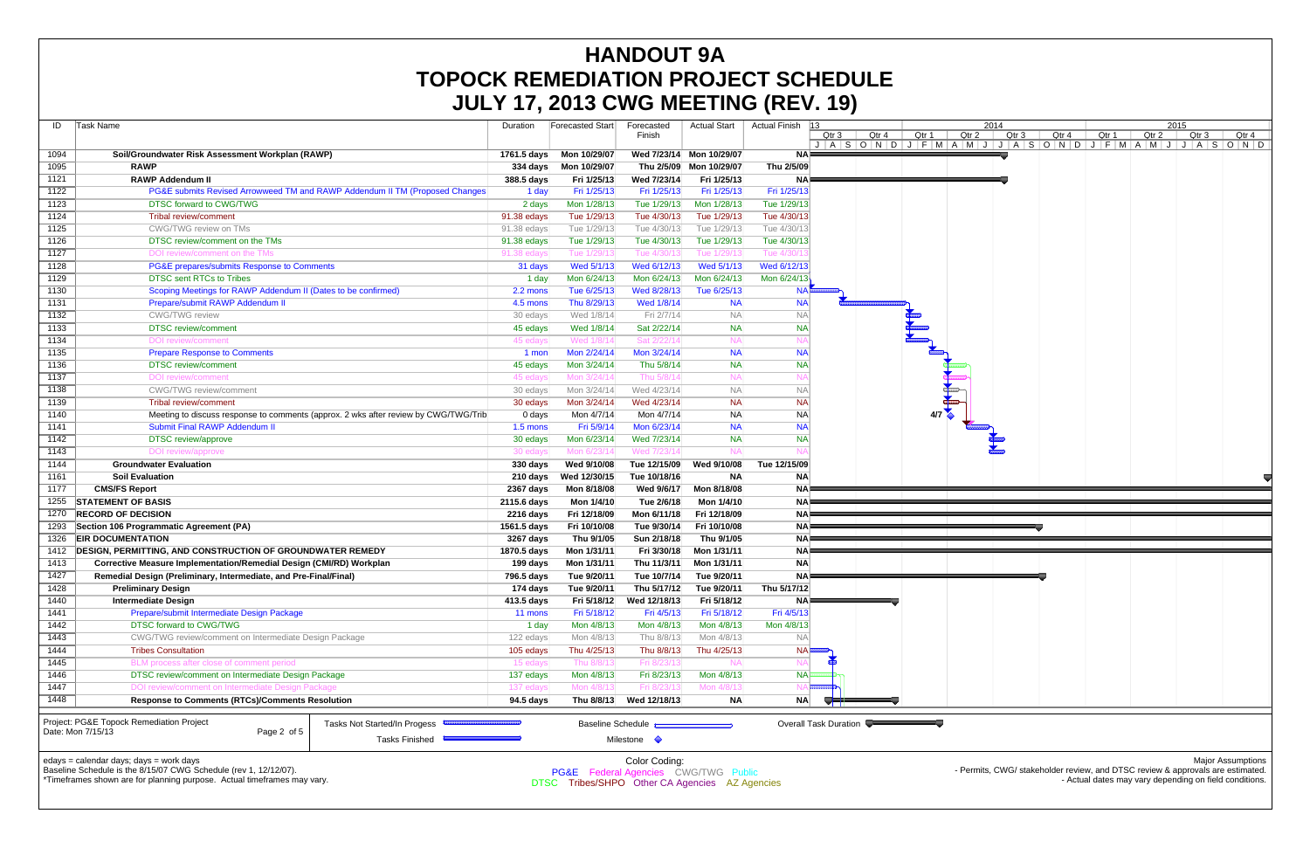| ID   | Task Name                                                                   |                                                                                     | Duration               | Forecasted Start            | Forecasted<br>Finish     | <b>Actual Start</b>     | <b>Actual Finish</b> | $ 13\rangle$<br>Qtr 3 | Qtr 4<br>$J   A   S   O   N   D   J   F   M   A  $ | Qtr 1 |  |
|------|-----------------------------------------------------------------------------|-------------------------------------------------------------------------------------|------------------------|-----------------------------|--------------------------|-------------------------|----------------------|-----------------------|----------------------------------------------------|-------|--|
| 1094 | Soil/Groundwater Risk Assessment Workplan (RAWP)                            |                                                                                     | 1761.5 days            | Mon 10/29/07                | Wed 7/23/14              | Mon 10/29/07            | <b>NA</b>            |                       |                                                    |       |  |
| 1095 | <b>RAWP</b>                                                                 |                                                                                     | <b>334 days</b>        | Mon 10/29/07                |                          | Thu 2/5/09 Mon 10/29/07 | Thu 2/5/09           |                       |                                                    |       |  |
| 1121 | <b>RAWP Addendum II</b>                                                     |                                                                                     | 388.5 days             | Fri 1/25/13                 | Wed 7/23/14              | Fri 1/25/13             | <b>NA</b>            |                       |                                                    |       |  |
| 1122 | PG&E submits Revised Arrowweed TM and RAWP Addendum II TM (Proposed Changes | 1 day                                                                               | Fri 1/25/13            | Fri 1/25/13                 | Fri 1/25/13              | Fri 1/25/13             |                      |                       |                                                    |       |  |
| 1123 | <b>DTSC forward to CWG/TWG</b>                                              |                                                                                     | 2 days                 | Mon 1/28/13                 | Tue 1/29/13              | Mon 1/28/13             | Tue 1/29/13          |                       |                                                    |       |  |
| 1124 | <b>Tribal review/comment</b>                                                |                                                                                     | 91.38 edays            | Tue 1/29/13                 | Tue 4/30/13              | Tue 1/29/13             | Tue 4/30/13          |                       |                                                    |       |  |
| 1125 | CWG/TWG review on TMs                                                       |                                                                                     | 91.38 edays            | Tue 1/29/13                 | Tue 4/30/13              | Tue 1/29/13             | Tue 4/30/13          |                       |                                                    |       |  |
| 1126 | DTSC review/comment on the TMs                                              |                                                                                     | 91.38 edays            | Tue 1/29/13                 | Tue 4/30/13              | Tue 1/29/13             | Tue 4/30/13          |                       |                                                    |       |  |
| 1127 | DOI review/comment on the TMs                                               |                                                                                     | 91.38 edays            | Tue 1/29/1                  | Tue 4/30/1               | Tue 1/29/13             | Tue 4/30/            |                       |                                                    |       |  |
| 1128 | PG&E prepares/submits Response to Comments                                  |                                                                                     | 31 days                | Wed 5/1/13                  | Wed 6/12/13              | Wed 5/1/13              | Wed 6/12/13          |                       |                                                    |       |  |
| 1129 | <b>DTSC sent RTCs to Tribes</b>                                             |                                                                                     | 1 day                  | Mon 6/24/13                 | Mon 6/24/13              | Mon 6/24/13             | Mon 6/24/13          |                       |                                                    |       |  |
| 1130 | Scoping Meetings for RAWP Addendum II (Dates to be confirmed)               |                                                                                     | 2.2 mons               | Tue 6/25/13                 | Wed 8/28/13              | Tue 6/25/13             | <b>NA</b>            |                       |                                                    |       |  |
| 1131 | Prepare/submit RAWP Addendum II                                             |                                                                                     | 4.5 mons               | Thu 8/29/13                 | Wed 1/8/14               | <b>NA</b>               | <b>NA</b>            |                       |                                                    |       |  |
| 1132 | <b>CWG/TWG</b> review                                                       |                                                                                     | 30 edays               | Wed 1/8/14                  | Fri 2/7/14               | <b>NA</b>               | <b>NA</b>            |                       |                                                    |       |  |
| 1133 | <b>DTSC</b> review/comment                                                  |                                                                                     | 45 edays               | Wed 1/8/14                  | Sat 2/22/14              | <b>NA</b>               | <b>NA</b>            |                       |                                                    |       |  |
| 1134 | DOI review/comment                                                          |                                                                                     | 45 edays               | Wed 1/8/14                  | Sat 2/22/1               | <b>NA</b>               | N.                   |                       |                                                    |       |  |
| 1135 | <b>Prepare Response to Comments</b>                                         |                                                                                     | 1 mon                  | Mon 2/24/14                 | Mon 3/24/14              | <b>NA</b>               | <b>NA</b>            |                       |                                                    |       |  |
| 1136 | <b>DTSC</b> review/comment                                                  |                                                                                     | 45 edays               | Mon 3/24/14                 | Thu 5/8/14               | <b>NA</b>               | <b>NA</b>            |                       |                                                    |       |  |
| 1137 | <b>DOI</b> review/comment                                                   |                                                                                     | 45 edays               | Mon 3/24/14                 | Thu 5/8/14               | <b>NA</b>               |                      |                       |                                                    |       |  |
| 1138 | <b>CWG/TWG</b> review/comment                                               |                                                                                     | 30 edays               | Mon 3/24/14                 | Wed 4/23/14              | <b>NA</b>               | <b>NA</b>            |                       |                                                    |       |  |
| 1139 | <b>Tribal review/comment</b>                                                |                                                                                     | 30 edays               | Mon 3/24/14                 | Wed 4/23/14              | <b>NA</b>               | <b>NA</b>            |                       |                                                    |       |  |
| 1140 |                                                                             | Meeting to discuss response to comments (approx. 2 wks after review by CWG/TWG/Trib |                        | Mon 4/7/14                  | Mon 4/7/14               | <b>NA</b>               | <b>NA</b>            |                       |                                                    | 4/7   |  |
| 1141 | Submit Final RAWP Addendum II                                               |                                                                                     | 0 days<br>$1.5$ mons   | Fri 5/9/14                  | Mon 6/23/14              | <b>NA</b>               | <b>NA</b>            |                       |                                                    |       |  |
| 1142 | <b>DTSC</b> review/approve                                                  |                                                                                     | 30 edays               | Mon 6/23/14                 | Wed 7/23/14              | <b>NA</b>               | <b>NA</b>            |                       |                                                    |       |  |
| 1143 |                                                                             |                                                                                     |                        | Mon 6/23/14                 | Wed 7/23/14              | <b>NA</b>               |                      |                       |                                                    |       |  |
| 1144 | DOI review/approve<br><b>Groundwater Evaluation</b>                         |                                                                                     | 30 edays               |                             | Tue 12/15/09             | Wed 9/10/08             | Tue 12/15/09         |                       |                                                    |       |  |
| 1161 |                                                                             |                                                                                     | 330 days               | Wed 9/10/08<br>Wed 12/30/15 | Tue 10/18/16             | <b>NA</b>               | <b>NA</b>            |                       |                                                    |       |  |
| 1177 | <b>Soil Evaluation</b>                                                      |                                                                                     | 210 days               |                             | Wed 9/6/17               |                         |                      |                       |                                                    |       |  |
|      | <b>CMS/FS Report</b>                                                        |                                                                                     | 2367 days              | Mon 8/18/08                 |                          | Mon 8/18/08             | <b>NA</b>            |                       |                                                    |       |  |
| 1255 | <b>STATEMENT OF BASIS</b>                                                   |                                                                                     | 2115.6 days            | Mon 1/4/10                  | Tue 2/6/18               | Mon 1/4/10              | <b>NA</b>            |                       |                                                    |       |  |
| 1270 | <b>RECORD OF DECISION</b>                                                   |                                                                                     | 2216 days              | Fri 12/18/09                | Mon 6/11/18              | Fri 12/18/09            | <b>NA</b>            |                       |                                                    |       |  |
| 1293 | Section 106 Programmatic Agreement (PA)                                     |                                                                                     | 1561.5 days            | Fri 10/10/08                | Tue 9/30/14              | Fri 10/10/08            | <b>NA</b>            |                       |                                                    |       |  |
| 1326 | <b>EIR DOCUMENTATION</b>                                                    |                                                                                     | 3267 days              | Thu 9/1/05                  | Sun 2/18/18              | Thu 9/1/05              | ΝA                   |                       |                                                    |       |  |
| 1412 | <b>DESIGN, PERMITTING, AND CONSTRUCTION OF GROUNDWATER REMEDY</b>           |                                                                                     | 1870.5 days            | Mon 1/31/11                 | Fri 3/30/18              | Mon 1/31/11             | <b>NA</b>            |                       |                                                    |       |  |
| 1413 | <b>Corrective Measure Implementation/Remedial Design (CMI/RD) Workplan</b>  |                                                                                     | 199 days               | Mon 1/31/11                 | Thu 11/3/11              | Mon 1/31/11             | <b>NA</b>            |                       |                                                    |       |  |
| 1427 | Remedial Design (Preliminary, Intermediate, and Pre-Final/Final)            |                                                                                     | 796.5 days             | Tue 9/20/11                 | Tue 10/7/14              | Tue 9/20/11             | <b>NA</b>            |                       |                                                    |       |  |
| 1428 | <b>Preliminary Design</b>                                                   |                                                                                     | 174 days               | Tue 9/20/11                 | Thu 5/17/12              | Tue 9/20/11             | Thu 5/17/12          |                       |                                                    |       |  |
| 1440 | <b>Intermediate Design</b>                                                  |                                                                                     | 413.5 days             | Fri 5/18/12                 | Wed 12/18/13             | Fri 5/18/12             | <b>NA</b>            |                       |                                                    |       |  |
| 1441 | Prepare/submit Intermediate Design Package                                  |                                                                                     | 11 mons                | Fri 5/18/12                 | Fri 4/5/13               | Fri 5/18/12             | Fri 4/5/13           |                       |                                                    |       |  |
| 1442 | <b>DTSC forward to CWG/TWG</b>                                              |                                                                                     | 1 day                  | Mon 4/8/13                  | Mon 4/8/13               | Mon 4/8/13              | Mon 4/8/13           |                       |                                                    |       |  |
| 1443 | CWG/TWG review/comment on Intermediate Design Package                       |                                                                                     | 122 edays<br>105 edays | Mon 4/8/13                  | Thu 8/8/13               | Mon 4/8/13              | <b>NA</b>            |                       |                                                    |       |  |
| 1444 | <b>Tribes Consultation</b>                                                  |                                                                                     |                        | Thu 4/25/13                 | Thu 8/8/13               | Thu 4/25/13             | <b>NA</b>            |                       |                                                    |       |  |
| 1445 | BLM process after close of comment period                                   |                                                                                     |                        | Thu 8/8/13                  | Fri 8/23/13              | <b>NA</b>               | N <sub>f</sub>       |                       |                                                    |       |  |
| 1446 | DTSC review/comment on Intermediate Design Package                          |                                                                                     |                        | Mon 4/8/13                  | Fri 8/23/13              | Mon 4/8/13              | <b>NA</b>            |                       |                                                    |       |  |
| 1447 | DOI review/comment on Intermediate Design Package                           |                                                                                     |                        | Mon 4/8/13                  | Fri 8/23/1:              | Mon 4/8/13              | N.                   |                       |                                                    |       |  |
| 1448 | <b>Response to Comments (RTCs)/Comments Resolution</b>                      | 94.5 days                                                                           | Thu 8/8/13             | Wed 12/18/13                | <b>NA</b>                | <b>NA</b>               |                      |                       |                                                    |       |  |
|      | Project: PG&E Topock Remediation Project<br>Tasks Not Started/In Progess    |                                                                                     |                        |                             | <b>Baseline Schedule</b> |                         |                      | Overall Task Duration |                                                    |       |  |
|      | Date: Mon 7/15/13<br>Page 2 of 5                                            |                                                                                     |                        | Milestone $\Diamond$        |                          |                         |                      |                       |                                                    |       |  |
|      | edays = calendar days; days = work days                                     |                                                                                     |                        |                             | Color Coding:            |                         |                      |                       |                                                    |       |  |

## **HANDOUT 9A TOPOCK REMEDIATION PROJECT SCHEDULE JULY 17, 2013 CWG MEETING (REV. 19)**



Baseline Schedule is the 8/15/07 CWG Schedule (rev 1, 12/12/07).

\*Timeframes shown are for planning purpose. Actual timeframes may vary.

- Permits, CWG/ stakeholder review, and DTSC review & approvals are estimated. - Actual dates may vary depending on field conditions.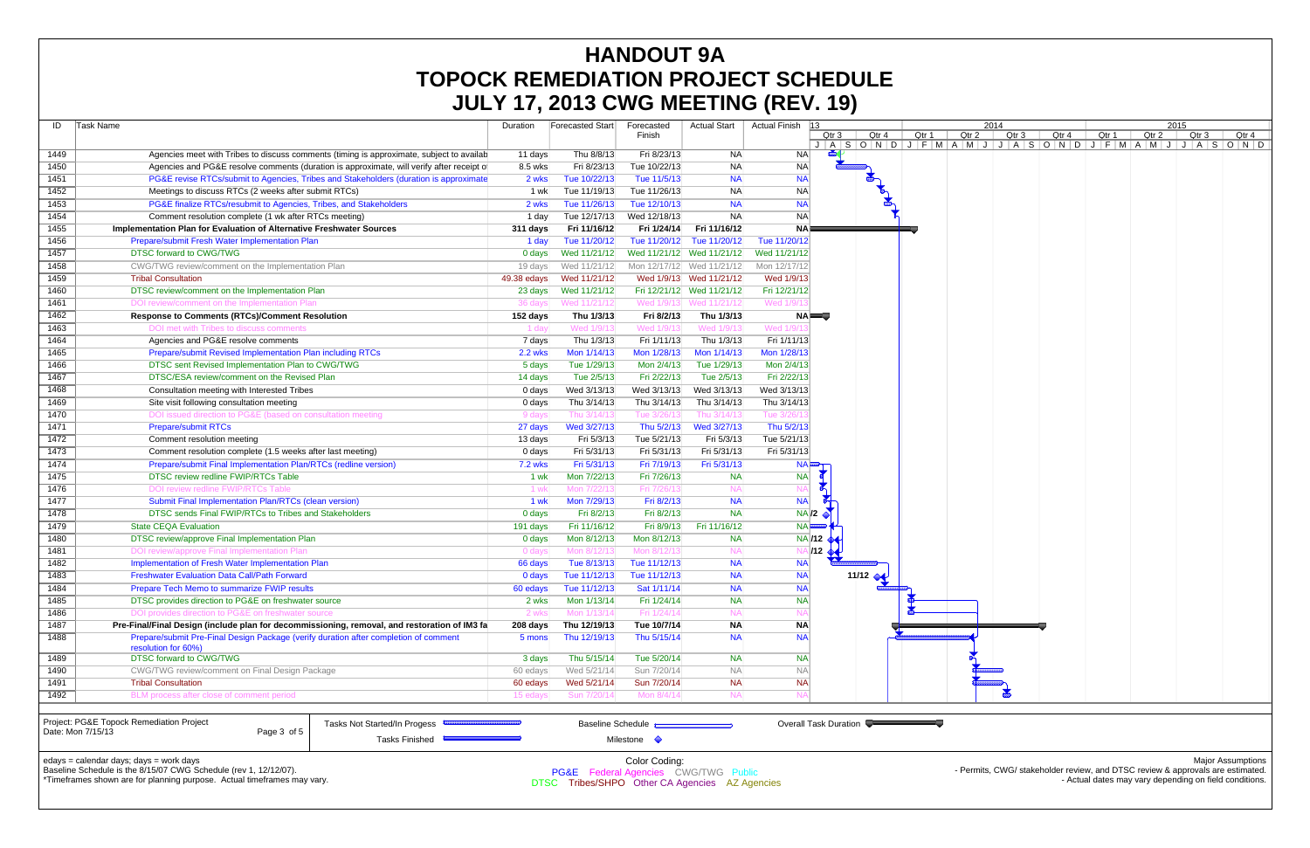Baseline Schedule is the 8/15/07 CWG Schedule (rev 1, 12/12/07). \*Timeframes shown are for planning purpose. Actual timeframes may vary.

|                   |                                                                                              |                | <b>JULI 17, ZUIJ UWU MLLIINU (ILEV. 13)</b> |                          |                           |                          |                                   |       |                  |                  |                       |                     |                                                                                          |
|-------------------|----------------------------------------------------------------------------------------------|----------------|---------------------------------------------|--------------------------|---------------------------|--------------------------|-----------------------------------|-------|------------------|------------------|-----------------------|---------------------|------------------------------------------------------------------------------------------|
| ID                | Task Name                                                                                    | Duration       | <b>Forecasted Start</b>                     | Forecasted               | Actual Start              | Actual Finish 13         |                                   |       |                  | 2014             |                       | 2015                |                                                                                          |
|                   |                                                                                              |                |                                             | Finish                   |                           |                          | Qtr 4<br>Qtr 3                    | Qtr 1 | Qtr <sub>2</sub> | Qtr <sub>3</sub> | Qtr 4<br>Qtr 1        | Qtr 2               | Qtr <sub>3</sub><br>Qtr 4<br>$A S O N D J F M A M J J A S O N D J F M A M J J A S O N D$ |
| 1449              | Agencies meet with Tribes to discuss comments (timing is approximate, subject to available   | 11 days        | Thu 8/8/13                                  | Fri 8/23/13              | NA                        | -NAI                     |                                   |       |                  |                  |                       |                     |                                                                                          |
| 1450              | Agencies and PG&E resolve comments (duration is approximate, will verify after receipt of    | 8.5 wks        | Fri 8/23/13                                 | Tue 10/22/13             | NA                        | <b>NA</b>                |                                   |       |                  |                  |                       |                     |                                                                                          |
| 1451              | PG&E revise RTCs/submit to Agencies, Tribes and Stakeholders (duration is approximate        | 2 wks          | Tue 10/22/13                                | Tue 11/5/13              | <b>NA</b>                 | <b>NA</b>                |                                   |       |                  |                  |                       |                     |                                                                                          |
| 1452              | Meetings to discuss RTCs (2 weeks after submit RTCs)                                         | 1 wk           | Tue 11/19/13                                | Tue 11/26/13             | NA                        | <b>NA</b>                |                                   |       |                  |                  |                       |                     |                                                                                          |
| 1453              | PG&E finalize RTCs/resubmit to Agencies, Tribes, and Stakeholders                            | 2 wks          | Tue 11/26/13                                | Tue 12/10/13             | <b>NA</b>                 | <b>NA</b>                |                                   |       |                  |                  |                       |                     |                                                                                          |
| 1454              | Comment resolution complete (1 wk after RTCs meeting)                                        | 1 day          | Tue 12/17/13                                | Wed 12/18/13             | <b>NA</b>                 | <b>NA</b>                |                                   |       |                  |                  |                       |                     |                                                                                          |
| 1455              | Implementation Plan for Evaluation of Alternative Freshwater Sources                         | 311 days       | Fri 11/16/12                                | Fri 1/24/14              | Fri 11/16/12              | NA⊫                      |                                   |       |                  |                  |                       |                     |                                                                                          |
| 1456              | Prepare/submit Fresh Water Implementation Plan                                               | 1 day          | Tue 11/20/12                                |                          | Tue 11/20/12 Tue 11/20/12 | Tue 11/20/12             |                                   |       |                  |                  |                       |                     |                                                                                          |
| 1457              | DTSC forward to CWG/TWG                                                                      | 0 days         | Wed 11/21/12                                |                          | Wed 11/21/12 Wed 11/21/12 | Wed 11/21/12             |                                   |       |                  |                  |                       |                     |                                                                                          |
| 1458              | CWG/TWG review/comment on the Implementation Plan                                            | 19 days        | Wed 11/21/12                                |                          | Mon 12/17/12 Wed 11/21/12 | Mon 12/17/12             |                                   |       |                  |                  |                       |                     |                                                                                          |
| 1459              | <b>Tribal Consultation</b>                                                                   | 49.38 edays    | Wed 11/21/12                                |                          | Wed 1/9/13 Wed 11/21/12   | Wed 1/9/13               |                                   |       |                  |                  |                       |                     |                                                                                          |
| 1460              | DTSC review/comment on the Implementation Plan                                               | 23 days        | Wed 11/21/12                                |                          | Fri 12/21/12 Wed 11/21/12 | Fri 12/21/12             |                                   |       |                  |                  |                       |                     |                                                                                          |
| 1461              | DOI review/comment on the Implementation Plar                                                | 36 days        | Wed 11/21/12                                |                          | Wed 1/9/13 Wed 11/21/12   | Wed 1/9/                 |                                   |       |                  |                  |                       |                     |                                                                                          |
| 1462              | <b>Response to Comments (RTCs)/Comment Resolution</b>                                        | 152 days       | Thu 1/3/13                                  | Fri 8/2/13               | Thu 1/3/13                | NAI <del>o</del>         |                                   |       |                  |                  |                       |                     |                                                                                          |
| 1463              | DOI met with Tribes to discuss comments                                                      | 1 day          | Wed 1/9/1                                   | Wed 1/9/1                | Wed 1/9/1                 | Wed 1/9                  |                                   |       |                  |                  |                       |                     |                                                                                          |
| 1464              | Agencies and PG&E resolve comments                                                           | 7 days         | Thu 1/3/13                                  | Fri 1/11/13              | Thu 1/3/13                | Fri 1/11/13              |                                   |       |                  |                  |                       |                     |                                                                                          |
| 1465              | Prepare/submit Revised Implementation Plan including RTCs                                    | <b>2.2 wks</b> | Mon 1/14/13                                 | Mon 1/28/13              | Mon 1/14/13               | Mon 1/28/13              |                                   |       |                  |                  |                       |                     |                                                                                          |
| 1466              | DTSC sent Revised Implementation Plan to CWG/TWG                                             | 5 days         | Tue 1/29/13                                 | Mon 2/4/13               | Tue 1/29/13               | Mon 2/4/13               |                                   |       |                  |                  |                       |                     |                                                                                          |
| 1467              | DTSC/ESA review/comment on the Revised Plan                                                  | 14 days        | Tue 2/5/13                                  | Fri 2/22/13              | Tue 2/5/13                | Fri 2/22/13              |                                   |       |                  |                  |                       |                     |                                                                                          |
| 1468              | Consultation meeting with Interested Tribes                                                  | 0 days         | Wed 3/13/13                                 | Wed 3/13/13              | Wed 3/13/13               | Wed 3/13/13              |                                   |       |                  |                  |                       |                     |                                                                                          |
| 1469              | Site visit following consultation meeting                                                    | 0 days         | Thu 3/14/13                                 | Thu 3/14/13              | Thu 3/14/13               | Thu 3/14/13              |                                   |       |                  |                  |                       |                     |                                                                                          |
| 1470              | DOI issued direction to PG&E (based on consultation meeting                                  | 9 days         | Thu 3/14/1                                  | Tue 3/26/1               | Thu 3/14/1                | Tue 3/26/                |                                   |       |                  |                  |                       |                     |                                                                                          |
| 1471              | <b>Prepare/submit RTCs</b>                                                                   | 27 days        | Wed 3/27/13                                 | Thu 5/2/13               | Wed 3/27/13               | Thu 5/2/13               |                                   |       |                  |                  |                       |                     |                                                                                          |
| 1472              | Comment resolution meeting                                                                   | 13 days        | Fri 5/3/13                                  | Tue 5/21/13              | Fri 5/3/13                | Tue 5/21/13              |                                   |       |                  |                  |                       |                     |                                                                                          |
| 1473              | Comment resolution complete (1.5 weeks after last meeting)                                   | 0 days         | Fri 5/31/13                                 | Fri 5/31/13              | Fri 5/31/13               | Fri 5/31/13              |                                   |       |                  |                  |                       |                     |                                                                                          |
| 1474              | Prepare/submit Final Implementation Plan/RTCs (redline version)                              | <b>7.2 wks</b> | Fri 5/31/13                                 | Fri 7/19/13              | Fri 5/31/13               | <b>NA</b>                |                                   |       |                  |                  |                       |                     |                                                                                          |
| 1475              | DTSC review redline FWIP/RTCs Table                                                          | 1 wk           | Mon 7/22/13                                 | Fri 7/26/13              | <b>NA</b>                 | <b>NA</b>                |                                   |       |                  |                  |                       |                     |                                                                                          |
| 1476              | DOI review redline FWIP/RTCs Table                                                           | 1 wk           | Mon 7/22/1                                  | Fri 7/26/1               | - NAI                     |                          | $\sum_{i=1}^{n}$                  |       |                  |                  |                       |                     |                                                                                          |
| 1477              | Submit Final Implementation Plan/RTCs (clean version)                                        | 1 wk           | Mon 7/29/13                                 | Fri 8/2/13               | <b>NA</b>                 | <b>NA</b>                |                                   |       |                  |                  |                       |                     |                                                                                          |
| 1478              | DTSC sends Final FWIP/RTCs to Tribes and Stakeholders                                        | 0 days         | Fri 8/2/13                                  | Fri 8/2/13               | <b>NA</b>                 |                          | NA/2                              |       |                  |                  |                       |                     |                                                                                          |
| 1479              | <b>State CEQA Evaluation</b>                                                                 | 191 days       | Fri 11/16/12                                | Fri 8/9/13               | Fri 11/16/12              | $NA$ $\overline{222223}$ |                                   |       |                  |                  |                       |                     |                                                                                          |
| 1480              | DTSC review/approve Final Implementation Plan                                                | 0 days         | Mon 8/12/13                                 | Mon 8/12/13              | <b>NA</b>                 |                          | <b>NA/12</b>                      |       |                  |                  |                       |                     |                                                                                          |
| 1481              | DOI review/approve Final Implementation Plan                                                 | 0 days         | Mon 8/12/13                                 | Mon 8/12/13              | <b>NA</b>                 |                          | $\overline{A}$ /12 $\overline{A}$ |       |                  |                  |                       |                     |                                                                                          |
| 1482              | Implementation of Fresh Water Implementation Plan                                            | 66 days        | Tue 8/13/13                                 | Tue 11/12/13             | <b>NA</b>                 | <b>NA</b>                |                                   |       |                  |                  |                       |                     |                                                                                          |
| 1483              | <b>Freshwater Evaluation Data Call/Path Forward</b>                                          | 0 days         | Tue 11/12/13                                | Tue 11/12/13             | <b>NA</b>                 | <b>NA</b>                | 11/12 $\leftrightarrow$           |       |                  |                  |                       |                     |                                                                                          |
| 1484              | <b>Prepare Tech Memo to summarize FWIP results</b>                                           | 60 edays       | Tue 11/12/13                                | Sat 1/11/14              | <b>NA</b>                 | <b>NA</b>                |                                   |       |                  |                  |                       |                     |                                                                                          |
| 1485              | DTSC provides direction to PG&E on freshwater source                                         | 2 wks          | Mon 1/13/14                                 | Fri 1/24/14              | <b>NA</b>                 | <b>NA</b>                |                                   |       |                  |                  |                       |                     |                                                                                          |
| 1486              | DOI provides direction to PG&E on freshwater source                                          | 2 wks          | Mon 1/13/14                                 | Fri 1/24/14              | <b>NA</b>                 |                          |                                   |       |                  |                  |                       |                     |                                                                                          |
| 1487              | Pre-Final/Final Design (include plan for decommissioning, removal, and restoration of IM3 fa | 208 days       | Thu 12/19/13                                | Tue 10/7/14              | <b>NA</b>                 | <b>NA</b>                |                                   |       |                  |                  |                       |                     |                                                                                          |
| 1488              | Prepare/submit Pre-Final Design Package (verify duration after completion of comment         | 5 mons         | Thu 12/19/13                                | Thu 5/15/14              | <b>NA</b>                 | <b>NA</b>                |                                   |       |                  |                  |                       |                     |                                                                                          |
|                   | resolution for 60%)                                                                          |                |                                             |                          |                           |                          |                                   |       |                  |                  |                       |                     |                                                                                          |
| 1489              | <b>DTSC forward to CWG/TWG</b>                                                               | 3 days         | Thu 5/15/14                                 | Tue 5/20/14              | <b>NA</b>                 | <b>NA</b>                |                                   |       |                  |                  |                       |                     |                                                                                          |
| 1490              | CWG/TWG review/comment on Final Design Package                                               | 60 edays       | Wed 5/21/14                                 | Sun 7/20/14              | <b>NA</b>                 | <b>NA</b>                |                                   |       |                  |                  |                       |                     |                                                                                          |
| 1491              | <b>Tribal Consultation</b>                                                                   | 60 edays       | Wed 5/21/14                                 | Sun 7/20/14              | <b>NA</b>                 | <b>NA</b>                |                                   |       |                  | $\mathbb{R}$     |                       |                     |                                                                                          |
| 1492              | BLM process after close of comment period                                                    | 15 edays       | Sun 7/20/14                                 | Mon 8/4/14               | <b>NA</b>                 | N/                       |                                   |       |                  |                  |                       |                     |                                                                                          |
|                   |                                                                                              |                |                                             |                          |                           |                          |                                   |       |                  |                  |                       |                     |                                                                                          |
| Date: Mon 7/15/13 | Project: PG&E Topock Remediation Project<br>Tasks Not Started/In Progess                     |                |                                             | <b>Baseline Schedule</b> |                           |                          | Overall Task Duration             |       |                  |                  |                       |                     |                                                                                          |
|                   | Page 3 of 5<br>Tasks Finished $\blacksquare$                                                 |                |                                             | Milestone $\Diamond$     |                           |                          |                                   |       |                  |                  |                       |                     |                                                                                          |
|                   |                                                                                              |                |                                             |                          |                           |                          |                                   |       |                  |                  |                       |                     |                                                                                          |
|                   | edays = calendar days; days = work days<br>$d_{11}$ $d_{21}$ , $d_{31}$ , $d_{12}$           |                |                                             | Color Coding:            |                           |                          |                                   |       |                  |                  | OMO/atom/atom/atom/cm | and DTOO solution 0 | <b>Major Assumptions</b>                                                                 |

## **HANDOUT 9A TOPOCK REMEDIATION PROJECT SCHEDULE JULY 17, 2013 CWG MEETING (REV. 19)**

PG&E Federal Agencies CWG/TWG Public DTSC Tribes/SHPO Other CA Agencies AZ Agencies - Permits, CWG/ stakeholder review, and DTSC review & approvals are estimated. - Actual dates may vary depending on field conditions.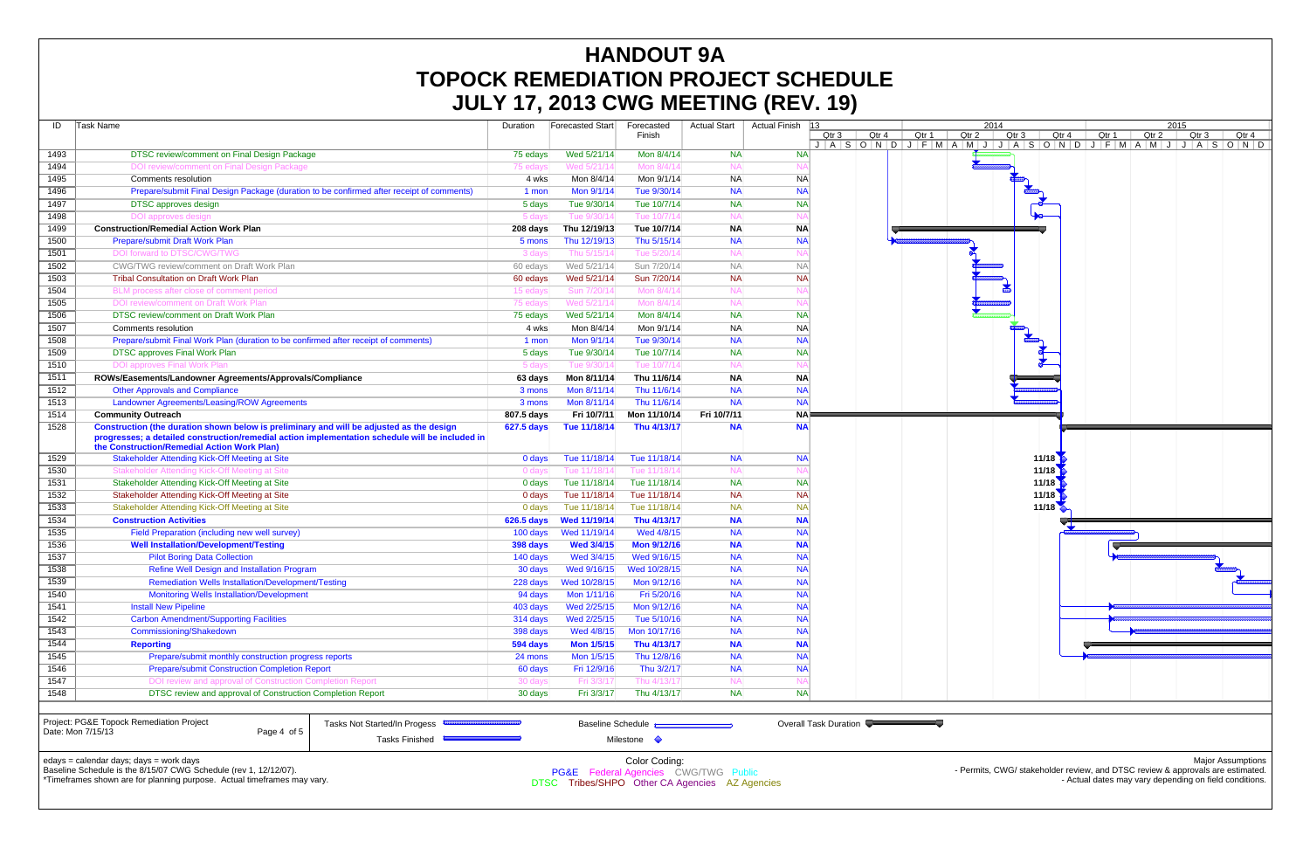|      |                                                                                                                                                                                                                                            |                   |                         |                          |                     |                   |                       | $\mathbf{z}$                              |       |  |
|------|--------------------------------------------------------------------------------------------------------------------------------------------------------------------------------------------------------------------------------------------|-------------------|-------------------------|--------------------------|---------------------|-------------------|-----------------------|-------------------------------------------|-------|--|
| ID   | Task Name                                                                                                                                                                                                                                  | Duration          | <b>Forecasted Start</b> | Forecasted<br>Finish     | <b>Actual Start</b> | Actual Finish  13 | Qtr 3                 | Qtr 4                                     | Qtr 1 |  |
| 1493 | DTSC review/comment on Final Design Package                                                                                                                                                                                                | 75 edays          | Wed 5/21/14             | Mon 8/4/14               | <b>NA</b>           | <b>NA</b>         |                       | $J   A   S   O   N   D   J   F   M   A  $ |       |  |
| 1494 | DOI review/comment on Final Design Package                                                                                                                                                                                                 | 75 edays          | Wed 5/21/14             | Mon 8/4/14               | <b>NA</b>           | N.                |                       |                                           |       |  |
| 1495 | Comments resolution                                                                                                                                                                                                                        | 4 wks             | Mon 8/4/14              | Mon 9/1/14               | <b>NA</b>           | <b>NA</b>         |                       |                                           |       |  |
| 1496 | Prepare/submit Final Design Package (duration to be confirmed after receipt of comments)                                                                                                                                                   | 1 mon             | Mon 9/1/14              | Tue 9/30/14              | <b>NA</b>           | <b>NA</b>         |                       |                                           |       |  |
| 1497 | <b>DTSC</b> approves design                                                                                                                                                                                                                | 5 days            | Tue 9/30/14             | Tue 10/7/14              | <b>NA</b>           | <b>NA</b>         |                       |                                           |       |  |
| 1498 | DOI approves design                                                                                                                                                                                                                        | 5 days            | Tue 9/30/14             | Tue 10/7/14              | <b>NA</b>           | $N_A$             |                       |                                           |       |  |
| 1499 | <b>Construction/Remedial Action Work Plan</b>                                                                                                                                                                                              | 208 days          | Thu 12/19/13            | Tue 10/7/14              | <b>NA</b>           | ΝA                |                       |                                           |       |  |
| 1500 | Prepare/submit Draft Work Plan                                                                                                                                                                                                             | 5 mons            | Thu 12/19/13            | Thu 5/15/14              | <b>NA</b>           | <b>NA</b>         |                       |                                           |       |  |
| 1501 | DOI forward to DTSC/CWG/TWG                                                                                                                                                                                                                | 3 days            | Thu 5/15/14             | Tue 5/20/1               | <b>NA</b>           | N.                |                       |                                           |       |  |
| 1502 | CWG/TWG review/comment on Draft Work Plan                                                                                                                                                                                                  | 60 edays          | Wed 5/21/14             | Sun 7/20/14              | <b>NA</b>           | <b>NA</b>         |                       |                                           |       |  |
| 1503 | <b>Tribal Consultation on Draft Work Plan</b>                                                                                                                                                                                              | 60 edays          | Wed 5/21/14             | Sun 7/20/14              | <b>NA</b>           | <b>NA</b>         |                       |                                           |       |  |
| 1504 | BLM process after close of comment period                                                                                                                                                                                                  | 15 edays          | Sun 7/20/14             | Mon 8/4/1                | <b>NA</b>           | N                 |                       |                                           |       |  |
| 1505 | DOI review/comment on Draft Work Plan                                                                                                                                                                                                      | 75 edays          | Wed 5/21/14             | Mon 8/4/1                | <b>NA</b>           | N                 |                       |                                           |       |  |
| 1506 | DTSC review/comment on Draft Work Plan                                                                                                                                                                                                     | 75 edays          | Wed 5/21/14             | Mon 8/4/14               | <b>NA</b>           | <b>NA</b>         |                       |                                           |       |  |
| 1507 | Comments resolution                                                                                                                                                                                                                        | 4 wks             | Mon 8/4/14              | Mon 9/1/14               | <b>NA</b>           | <b>NA</b>         |                       |                                           |       |  |
| 1508 | Prepare/submit Final Work Plan (duration to be confirmed after receipt of comments)                                                                                                                                                        | 1 mon             | Mon 9/1/14              | Tue 9/30/14              | <b>NA</b>           | <b>NA</b>         |                       |                                           |       |  |
| 1509 | <b>DTSC approves Final Work Plan</b>                                                                                                                                                                                                       | 5 days            | Tue 9/30/14             | Tue 10/7/14              | <b>NA</b>           | <b>NA</b>         |                       |                                           |       |  |
| 1510 | <b>DOI approves Final Work Plan</b>                                                                                                                                                                                                        | 5 days            | Tue 9/30/14             | Tue 10/7/14              | <b>NA</b>           | N/                |                       |                                           |       |  |
| 1511 | ROWs/Easements/Landowner Agreements/Approvals/Compliance                                                                                                                                                                                   | 63 days           | Mon 8/11/14             | Thu 11/6/14              | <b>NA</b>           | <b>NA</b>         |                       |                                           |       |  |
| 1512 | <b>Other Approvals and Compliance</b>                                                                                                                                                                                                      | 3 mons            | Mon 8/11/14             | Thu 11/6/14              | <b>NA</b>           | <b>NA</b>         |                       |                                           |       |  |
| 1513 | Landowner Agreements/Leasing/ROW Agreements                                                                                                                                                                                                | 3 mons            | Mon 8/11/14             | Thu 11/6/14              | <b>NA</b>           | <b>NA</b>         |                       |                                           |       |  |
| 1514 | <b>Community Outreach</b>                                                                                                                                                                                                                  | 807.5 days        | Fri 10/7/11             | Mon 11/10/14             | Fri 10/7/11         | <b>NA</b>         |                       |                                           |       |  |
| 1528 | Construction (the duration shown below is preliminary and will be adjusted as the design<br>progresses; a detailed construction/remedial action implementation schedule will be included in<br>the Construction/Remedial Action Work Plan) | <b>627.5 days</b> | Tue 11/18/14            | Thu 4/13/17              | <b>NA</b>           | <b>NA</b>         |                       |                                           |       |  |
| 1529 | <b>Stakeholder Attending Kick-Off Meeting at Site</b>                                                                                                                                                                                      | 0 days            | Tue 11/18/14            | Tue 11/18/14             | <b>NA</b>           | <b>NA</b>         |                       |                                           |       |  |
| 1530 | Stakeholder Attending Kick-Off Meeting at Site                                                                                                                                                                                             | 0 days            | Tue 11/18/14            | Tue 11/18/14             | <b>NA</b>           |                   |                       |                                           |       |  |
| 1531 | Stakeholder Attending Kick-Off Meeting at Site                                                                                                                                                                                             | $0$ days          | Tue 11/18/14            | Tue 11/18/14             | <b>NA</b>           | <b>NA</b>         |                       |                                           |       |  |
| 1532 | Stakeholder Attending Kick-Off Meeting at Site                                                                                                                                                                                             | 0 days            | Tue 11/18/14            | Tue 11/18/14             | <b>NA</b>           | <b>NA</b>         |                       |                                           |       |  |
| 1533 | Stakeholder Attending Kick-Off Meeting at Site                                                                                                                                                                                             | 0 days            | Tue 11/18/14            | Tue 11/18/14             | <b>NA</b>           | <b>NA</b>         |                       |                                           |       |  |
| 1534 | <b>Construction Activities</b>                                                                                                                                                                                                             | 626.5 days        | Wed 11/19/14            | Thu 4/13/17              | <b>NA</b>           | <b>NA</b>         |                       |                                           |       |  |
| 1535 | Field Preparation (including new well survey)                                                                                                                                                                                              | 100 days          | Wed 11/19/14            | Wed 4/8/15               | <b>NA</b>           | <b>NA</b>         |                       |                                           |       |  |
| 1536 | <b>Well Installation/Development/Testing</b>                                                                                                                                                                                               | 398 days          | <b>Wed 3/4/15</b>       | Mon 9/12/16              | <b>NA</b>           | <b>NA</b>         |                       |                                           |       |  |
| 1537 | <b>Pilot Boring Data Collection</b>                                                                                                                                                                                                        | 140 days          | Wed 3/4/15              | Wed 9/16/15              | <b>NA</b>           | <b>NA</b>         |                       |                                           |       |  |
| 1538 | Refine Well Design and Installation Program                                                                                                                                                                                                | 30 days           | Wed 9/16/15             | Wed 10/28/15             | <b>NA</b>           | <b>NA</b>         |                       |                                           |       |  |
| 1539 | <b>Remediation Wells Installation/Development/Testing</b>                                                                                                                                                                                  | 228 days          | Wed 10/28/15            | Mon 9/12/16              | <b>NA</b>           | <b>NA</b>         |                       |                                           |       |  |
| 1540 | <b>Monitoring Wells Installation/Development</b>                                                                                                                                                                                           | 94 days           | Mon 1/11/16             | Fri 5/20/16              | <b>NA</b>           | <b>NA</b>         |                       |                                           |       |  |
| 1541 | <b>Install New Pipeline</b>                                                                                                                                                                                                                | 403 days          | Wed 2/25/15             | Mon 9/12/16              | <b>NA</b>           | <b>NA</b>         |                       |                                           |       |  |
| 1542 | <b>Carbon Amendment/Supporting Facilities</b>                                                                                                                                                                                              | 314 days          | Wed 2/25/15             | Tue 5/10/16              | <b>NA</b>           | <b>NA</b>         |                       |                                           |       |  |
| 1543 | Commissioning/Shakedown                                                                                                                                                                                                                    | 398 days          | Wed 4/8/15              | Mon 10/17/16             | <b>NA</b>           | <b>NA</b>         |                       |                                           |       |  |
| 1544 | <b>Reporting</b>                                                                                                                                                                                                                           | 594 days          | <b>Mon 1/5/15</b>       | Thu 4/13/17              | <b>NA</b>           | <b>NA</b>         |                       |                                           |       |  |
| 1545 | Prepare/submit monthly construction progress reports                                                                                                                                                                                       | 24 mons           | Mon 1/5/15              | Thu 12/8/16              | <b>NA</b>           | <b>NA</b>         |                       |                                           |       |  |
| 1546 | <b>Prepare/submit Construction Completion Report</b>                                                                                                                                                                                       | 60 days           | Fri 12/9/16             | Thu 3/2/17               | <b>NA</b>           | <b>NA</b>         |                       |                                           |       |  |
| 1547 | DOI review and approval of Construction Completion Report                                                                                                                                                                                  | 30 days           | Fri 3/3/17              | Thu 4/13/17              | <b>NA</b>           | N/                |                       |                                           |       |  |
| 1548 | DTSC review and approval of Construction Completion Report                                                                                                                                                                                 | 30 days           | Fri 3/3/17              | Thu 4/13/17              | <b>NA</b>           | <b>NA</b>         |                       |                                           |       |  |
|      | Project: PG&E Topock Remediation Project<br>Tasks Not Started/In Progess<br>Page 4 of 5<br>Date: Mon 7/15/13                                                                                                                               |                   |                         | <b>Baseline Schedule</b> |                     |                   | Overall Task Duration |                                           |       |  |
|      | <b>Tasks Finished</b>                                                                                                                                                                                                                      |                   |                         | Milestone $\Diamond$     |                     |                   |                       |                                           |       |  |

# **HANDOUT 9A TOPOCK REMEDIATION PROJECT SCHEDULE JULY 17, 2013 CWG MEETING (REV. 19)**

edays = calendar days; days = work days



Baseline Schedule is the 8/15/07 CWG Schedule (rev 1, 12/12/07).

\*Timeframes shown are for planning purpose. Actual timeframes may vary.

- Permits, CWG/ stakeholder review, and DTSC review & approvals are estimated. - Actual dates may vary depending on field conditions.